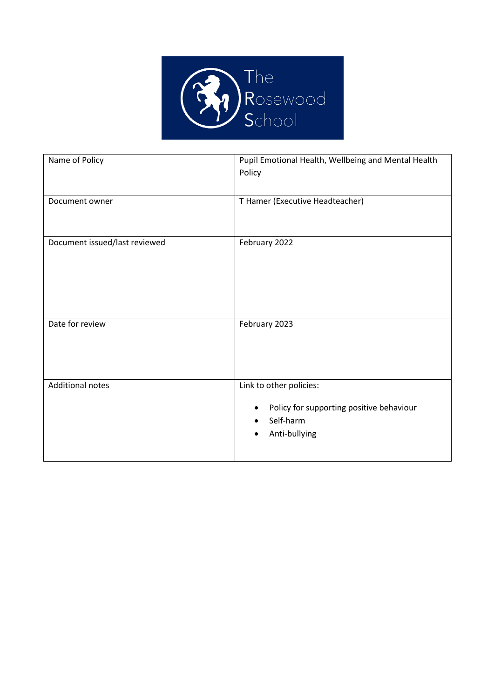

| Name of Policy                | Pupil Emotional Health, Wellbeing and Mental Health<br>Policy                                                       |
|-------------------------------|---------------------------------------------------------------------------------------------------------------------|
| Document owner                | T Hamer (Executive Headteacher)                                                                                     |
| Document issued/last reviewed | February 2022                                                                                                       |
| Date for review               | February 2023                                                                                                       |
| <b>Additional notes</b>       | Link to other policies:<br>Policy for supporting positive behaviour<br>٠<br>Self-harm<br>Anti-bullying<br>$\bullet$ |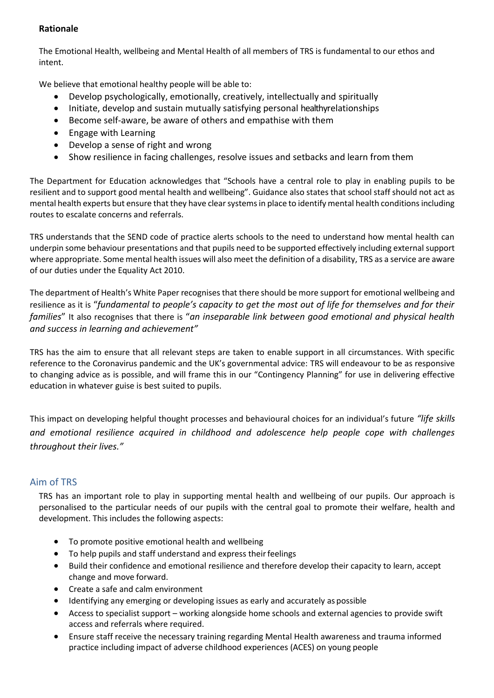## **Rationale**

The Emotional Health, wellbeing and Mental Health of all members of TRS is fundamental to our ethos and intent.

We believe that emotional healthy people will be able to:

- Develop psychologically, emotionally, creatively, intellectually and spiritually
- Initiate, develop and sustain mutually satisfying personal healthyrelationships
- Become self-aware, be aware of others and empathise with them
- Engage with Learning
- Develop a sense of right and wrong
- Show resilience in facing challenges, resolve issues and setbacks and learn from them

The Department for Education acknowledges that "Schools have a central role to play in enabling pupils to be resilient and to support good mental health and wellbeing". Guidance also states that school staff should not act as mental health experts but ensure that they have clear systems in place to identify mental health conditions including routes to escalate concerns and referrals.

TRS understands that the SEND code of practice alerts schools to the need to understand how mental health can underpin some behaviour presentations and that pupils need to be supported effectively including external support where appropriate. Some mental health issues will also meet the definition of a disability, TRS as a service are aware of our duties under the Equality Act 2010.

The department of Health's White Paper recognises that there should be more support for emotional wellbeing and resilience as it is "*fundamental to people's capacity to get the most out of life for themselves and for their families*" It also recognises that there is "*an inseparable link between good emotional and physical health and success in learning and achievement"*

TRS has the aim to ensure that all relevant steps are taken to enable support in all circumstances. With specific reference to the Coronavirus pandemic and the UK's governmental advice: TRS will endeavour to be as responsive to changing advice as is possible, and will frame this in our "Contingency Planning" for use in delivering effective education in whatever guise is best suited to pupils.

This impact on developing helpful thought processes and behavioural choices for an individual's future *"life skills and emotional resilience acquired in childhood and adolescence help people cope with challenges throughout their lives."*

## Aim of TRS

TRS has an important role to play in supporting mental health and wellbeing of our pupils. Our approach is personalised to the particular needs of our pupils with the central goal to promote their welfare, health and development. This includes the following aspects:

- To promote positive emotional health and wellbeing
- To help pupils and staff understand and express their feelings
- Build their confidence and emotional resilience and therefore develop their capacity to learn, accept change and move forward.
- Create a safe and calm environment
- Identifying any emerging or developing issues as early and accurately as possible
- Access to specialist support working alongside home schools and external agencies to provide swift access and referrals where required.
- Ensure staff receive the necessary training regarding Mental Health awareness and trauma informed practice including impact of adverse childhood experiences (ACES) on young people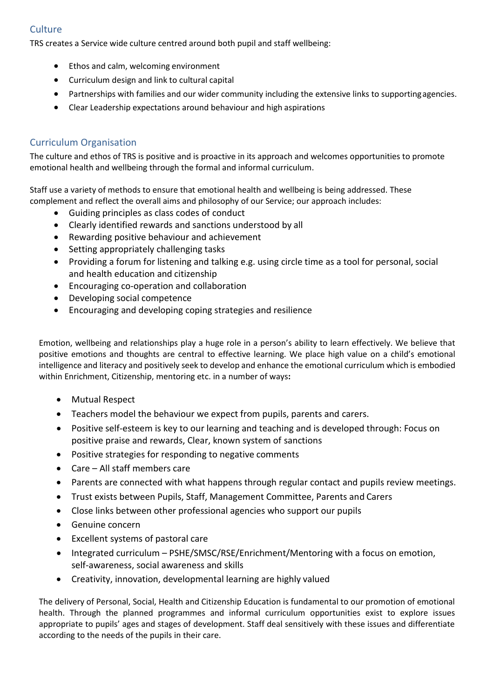# **Culture**

TRS creates a Service wide culture centred around both pupil and staff wellbeing:

- Ethos and calm, welcoming environment
- Curriculum design and link to cultural capital
- Partnerships with families and our wider community including the extensive links to supportingagencies.
- Clear Leadership expectations around behaviour and high aspirations

## Curriculum Organisation

The culture and ethos of TRS is positive and is proactive in its approach and welcomes opportunities to promote emotional health and wellbeing through the formal and informal curriculum.

Staff use a variety of methods to ensure that emotional health and wellbeing is being addressed. These complement and reflect the overall aims and philosophy of our Service; our approach includes:

- Guiding principles as class codes of conduct
- Clearly identified rewards and sanctions understood by all
- Rewarding positive behaviour and achievement
- Setting appropriately challenging tasks
- Providing a forum for listening and talking e.g. using circle time as a tool for personal, social and health education and citizenship
- Encouraging co-operation and collaboration
- Developing social competence
- Encouraging and developing coping strategies and resilience

Emotion, wellbeing and relationships play a huge role in a person's ability to learn effectively. We believe that positive emotions and thoughts are central to effective learning. We place high value on a child's emotional intelligence and literacy and positively seek to develop and enhance the emotional curriculum which is embodied within Enrichment, Citizenship, mentoring etc. in a number of ways**:**

- Mutual Respect
- Teachers model the behaviour we expect from pupils, parents and carers.
- Positive self-esteem is key to our learning and teaching and is developed through: Focus on positive praise and rewards, Clear, known system of sanctions
- Positive strategies for responding to negative comments
- Care All staff members care
- Parents are connected with what happens through regular contact and pupils review meetings.
- Trust exists between Pupils, Staff, Management Committee, Parents and Carers
- Close links between other professional agencies who support our pupils
- Genuine concern
- Excellent systems of pastoral care
- Integrated curriculum PSHE/SMSC/RSE/Enrichment/Mentoring with a focus on emotion, self-awareness, social awareness and skills
- Creativity, innovation, developmental learning are highly valued

The delivery of Personal, Social, Health and Citizenship Education is fundamental to our promotion of emotional health. Through the planned programmes and informal curriculum opportunities exist to explore issues appropriate to pupils' ages and stages of development. Staff deal sensitively with these issues and differentiate according to the needs of the pupils in their care.